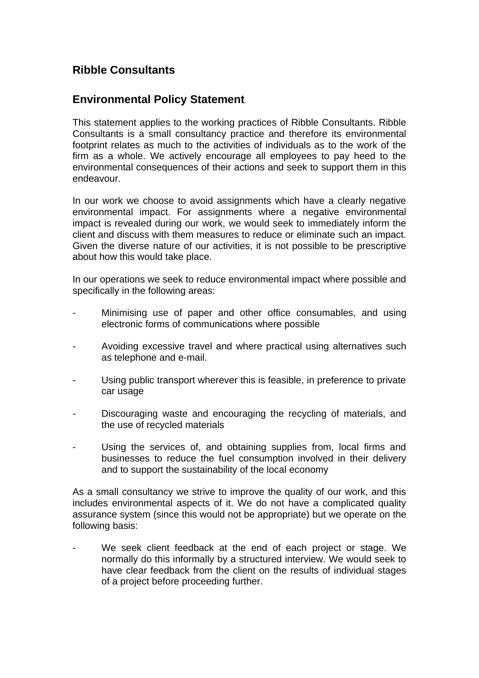## **Ribble Consultants**

## **Environmental Policy Statement**

This statement applies to the working practices of Ribble Consultants. Ribble Consultants is a small consultancy practice and therefore its environmental footprint relates as much to the activities of individuals as to the work of the firm as a whole. We actively encourage all employees to pay heed to the environmental consequences of their actions and seek to support them in this endeavour.

In our work we choose to avoid assignments which have a clearly negative environmental impact. For assignments where a negative environmental impact is revealed during our work, we would seek to immediately inform the client and discuss with them measures to reduce or eliminate such an impact. Given the diverse nature of our activities, it is not possible to be prescriptive about how this would take place.

In our operations we seek to reduce environmental impact where possible and specifically in the following areas:

- Minimising use of paper and other office consumables, and using electronic forms of communications where possible
- Avoiding excessive travel and where practical using alternatives such as telephone and e-mail.
- Using public transport wherever this is feasible, in preference to private car usage
- Discouraging waste and encouraging the recycling of materials, and the use of recycled materials
- Using the services of, and obtaining supplies from, local firms and businesses to reduce the fuel consumption involved in their delivery and to support the sustainability of the local economy

As a small consultancy we strive to improve the quality of our work, and this includes environmental aspects of it. We do not have a complicated quality assurance system (since this would not be appropriate) but we operate on the following basis:

We seek client feedback at the end of each project or stage. We normally do this informally by a structured interview. We would seek to have clear feedback from the client on the results of individual stages of a project before proceeding further.